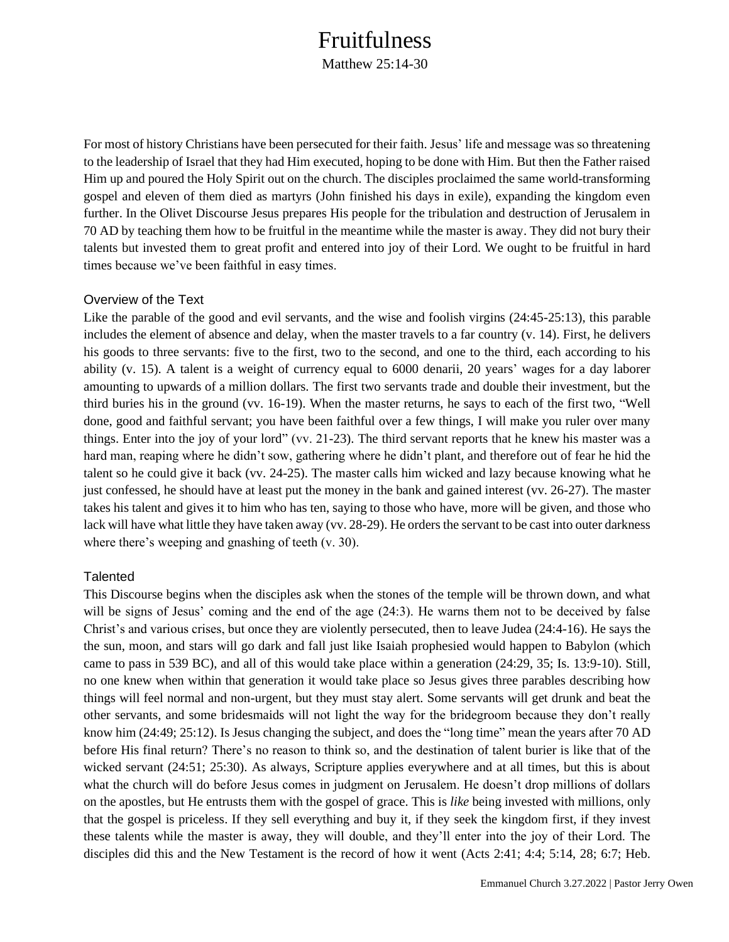### Fruitfulness

Matthew 25:14-30

For most of history Christians have been persecuted for their faith. Jesus' life and message was so threatening to the leadership of Israel that they had Him executed, hoping to be done with Him. But then the Father raised Him up and poured the Holy Spirit out on the church. The disciples proclaimed the same world-transforming gospel and eleven of them died as martyrs (John finished his days in exile), expanding the kingdom even further. In the Olivet Discourse Jesus prepares His people for the tribulation and destruction of Jerusalem in 70 AD by teaching them how to be fruitful in the meantime while the master is away. They did not bury their talents but invested them to great profit and entered into joy of their Lord. We ought to be fruitful in hard times because we've been faithful in easy times.

#### Overview of the Text

Like the parable of the good and evil servants, and the wise and foolish virgins (24:45-25:13), this parable includes the element of absence and delay, when the master travels to a far country (v. 14). First, he delivers his goods to three servants: five to the first, two to the second, and one to the third, each according to his ability (v. 15). A talent is a weight of currency equal to 6000 denarii, 20 years' wages for a day laborer amounting to upwards of a million dollars. The first two servants trade and double their investment, but the third buries his in the ground (vv. 16-19). When the master returns, he says to each of the first two, "Well done, good and faithful servant; you have been faithful over a few things, I will make you ruler over many things. Enter into the joy of your lord" (vv. 21-23). The third servant reports that he knew his master was a hard man, reaping where he didn't sow, gathering where he didn't plant, and therefore out of fear he hid the talent so he could give it back (vv. 24-25). The master calls him wicked and lazy because knowing what he just confessed, he should have at least put the money in the bank and gained interest (vv. 26-27). The master takes his talent and gives it to him who has ten, saying to those who have, more will be given, and those who lack will have what little they have taken away (vv. 28-29). He orders the servant to be cast into outer darkness where there's weeping and gnashing of teeth (v. 30).

### **Talented**

This Discourse begins when the disciples ask when the stones of the temple will be thrown down, and what will be signs of Jesus' coming and the end of the age (24:3). He warns them not to be deceived by false Christ's and various crises, but once they are violently persecuted, then to leave Judea (24:4-16). He says the the sun, moon, and stars will go dark and fall just like Isaiah prophesied would happen to Babylon (which came to pass in 539 BC), and all of this would take place within a generation (24:29, 35; Is. 13:9-10). Still, no one knew when within that generation it would take place so Jesus gives three parables describing how things will feel normal and non-urgent, but they must stay alert. Some servants will get drunk and beat the other servants, and some bridesmaids will not light the way for the bridegroom because they don't really know him (24:49; 25:12). Is Jesus changing the subject, and does the "long time" mean the years after 70 AD before His final return? There's no reason to think so, and the destination of talent burier is like that of the wicked servant (24:51; 25:30). As always, Scripture applies everywhere and at all times, but this is about what the church will do before Jesus comes in judgment on Jerusalem. He doesn't drop millions of dollars on the apostles, but He entrusts them with the gospel of grace. This is *like* being invested with millions, only that the gospel is priceless. If they sell everything and buy it, if they seek the kingdom first, if they invest these talents while the master is away, they will double, and they'll enter into the joy of their Lord. The disciples did this and the New Testament is the record of how it went (Acts 2:41; 4:4; 5:14, 28; 6:7; Heb.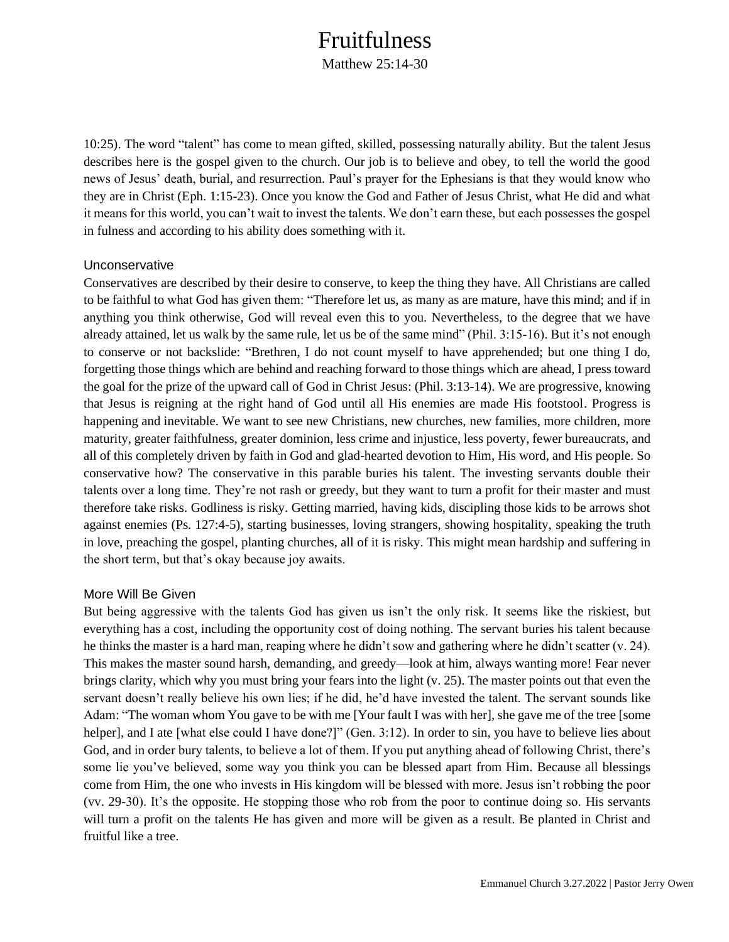## Fruitfulness

Matthew 25:14-30

10:25). The word "talent" has come to mean gifted, skilled, possessing naturally ability. But the talent Jesus describes here is the gospel given to the church. Our job is to believe and obey, to tell the world the good news of Jesus' death, burial, and resurrection. Paul's prayer for the Ephesians is that they would know who they are in Christ (Eph. 1:15-23). Once you know the God and Father of Jesus Christ, what He did and what it means for this world, you can't wait to invest the talents. We don't earn these, but each possesses the gospel in fulness and according to his ability does something with it.

#### Unconservative

Conservatives are described by their desire to conserve, to keep the thing they have. All Christians are called to be faithful to what God has given them: "Therefore let us, as many as are mature, have this mind; and if in anything you think otherwise, God will reveal even this to you. Nevertheless, to the degree that we have already attained, let us walk by the same rule, let us be of the same mind" (Phil. 3:15-16). But it's not enough to conserve or not backslide: "Brethren, I do not count myself to have apprehended; but one thing I do, forgetting those things which are behind and reaching forward to those things which are ahead, I press toward the goal for the prize of the upward call of God in Christ Jesus: (Phil. 3:13-14). We are progressive, knowing that Jesus is reigning at the right hand of God until all His enemies are made His footstool. Progress is happening and inevitable. We want to see new Christians, new churches, new families, more children, more maturity, greater faithfulness, greater dominion, less crime and injustice, less poverty, fewer bureaucrats, and all of this completely driven by faith in God and glad-hearted devotion to Him, His word, and His people. So conservative how? The conservative in this parable buries his talent. The investing servants double their talents over a long time. They're not rash or greedy, but they want to turn a profit for their master and must therefore take risks. Godliness is risky. Getting married, having kids, discipling those kids to be arrows shot against enemies (Ps. 127:4-5), starting businesses, loving strangers, showing hospitality, speaking the truth in love, preaching the gospel, planting churches, all of it is risky. This might mean hardship and suffering in the short term, but that's okay because joy awaits.

### More Will Be Given

But being aggressive with the talents God has given us isn't the only risk. It seems like the riskiest, but everything has a cost, including the opportunity cost of doing nothing. The servant buries his talent because he thinks the master is a hard man, reaping where he didn't sow and gathering where he didn't scatter (v. 24). This makes the master sound harsh, demanding, and greedy—look at him, always wanting more! Fear never brings clarity, which why you must bring your fears into the light (v. 25). The master points out that even the servant doesn't really believe his own lies; if he did, he'd have invested the talent. The servant sounds like Adam: "The woman whom You gave to be with me [Your fault I was with her], she gave me of the tree [some helper], and I ate [what else could I have done?]" (Gen. 3:12). In order to sin, you have to believe lies about God, and in order bury talents, to believe a lot of them. If you put anything ahead of following Christ, there's some lie you've believed, some way you think you can be blessed apart from Him. Because all blessings come from Him, the one who invests in His kingdom will be blessed with more. Jesus isn't robbing the poor (vv. 29-30). It's the opposite. He stopping those who rob from the poor to continue doing so. His servants will turn a profit on the talents He has given and more will be given as a result. Be planted in Christ and fruitful like a tree.